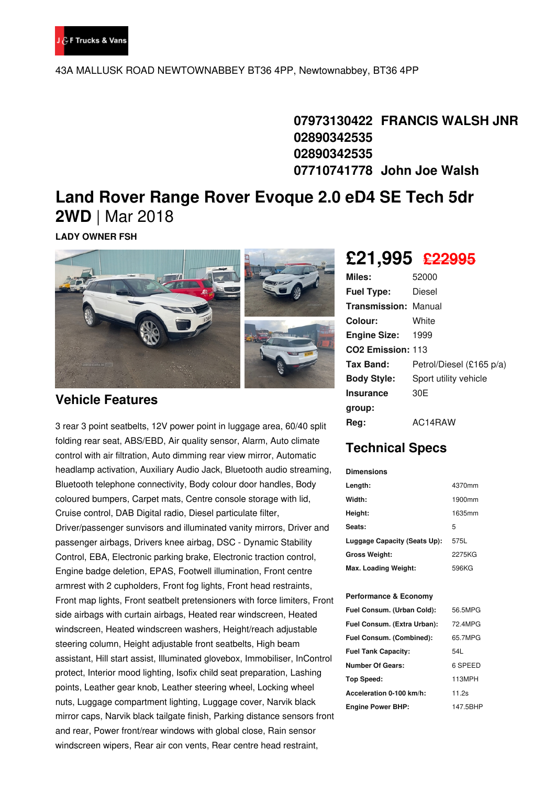

43A MALLUSK ROAD NEWTOWNABBEY BT36 4PP, Newtownabbey, BT36 4PP

**07973130422 FRANCIS WALSH JNR 02890342535 02890342535 07710741778 John Joe Walsh**

# **Land Rover Range Rover Evoque 2.0 eD4 SE Tech 5dr 2WD** | Mar 2018

**LADY OWNER FSH**



#### **Vehicle Features**

3 rear 3 point seatbelts, 12V power point in luggage area, 60/40 split folding rear seat, ABS/EBD, Air quality sensor, Alarm, Auto climate control with air filtration, Auto dimming rear view mirror, Automatic headlamp activation, Auxiliary Audio Jack, Bluetooth audio streaming, Bluetooth telephone connectivity, Body colour door handles, Body coloured bumpers, Carpet mats, Centre console storage with lid, Cruise control, DAB Digital radio, Diesel particulate filter, Driver/passenger sunvisors and illuminated vanity mirrors, Driver and passenger airbags, Drivers knee airbag, DSC - Dynamic Stability Control, EBA, Electronic parking brake, Electronic traction control, Engine badge deletion, EPAS, Footwell illumination, Front centre armrest with 2 cupholders, Front fog lights, Front head restraints, Front map lights, Front seatbelt pretensioners with force limiters, Front side airbags with curtain airbags, Heated rear windscreen, Heated windscreen, Heated windscreen washers, Height/reach adjustable steering column, Height adjustable front seatbelts, High beam assistant, Hill start assist, Illuminated glovebox, Immobiliser, InControl protect, Interior mood lighting, Isofix child seat preparation, Lashing points, Leather gear knob, Leather steering wheel, Locking wheel nuts, Luggage compartment lighting, Luggage cover, Narvik black mirror caps, Narvik black tailgate finish, Parking distance sensors front and rear, Power front/rear windows with global close, Rain sensor windscreen wipers, Rear air con vents, Rear centre head restraint,

## **£21,995 £22995**

| Miles:                        | 52000                    |
|-------------------------------|--------------------------|
| <b>Fuel Type:</b>             | Diesel                   |
| <b>Transmission: Manual</b>   |                          |
| Colour:                       | White                    |
| <b>Engine Size: 1999</b>      |                          |
| CO <sub>2</sub> Emission: 113 |                          |
| Tax Band:                     | Petrol/Diesel (£165 p/a) |
| <b>Body Style:</b>            | Sport utility vehicle    |
| <b>Insurance</b>              | 30E                      |
| group:                        |                          |
| Reg:                          | AC14RAW                  |

### **Technical Specs**

| <b>Dimensions</b>            |        |
|------------------------------|--------|
| Length:                      | 4370mm |
| Width:                       | 1900mm |
| Height:                      | 1635mm |
| Seats:                       | 5      |
| Luggage Capacity (Seats Up): | 575L   |
| <b>Gross Weight:</b>         | 2275KG |
| Max. Loading Weight:         | 596KG  |

#### **Performance & Economy**

| Fuel Consum. (Urban Cold):  | 56.5MPG  |
|-----------------------------|----------|
| Fuel Consum. (Extra Urban): | 72 4MPG  |
| Fuel Consum. (Combined):    | 65.7MPG  |
| <b>Fuel Tank Capacity:</b>  | 54L      |
| Number Of Gears:            | 6 SPEED  |
| Top Speed:                  | 113MPH   |
| Acceleration 0-100 km/h:    | 11.2s    |
| <b>Engine Power BHP:</b>    | 147.5BHP |